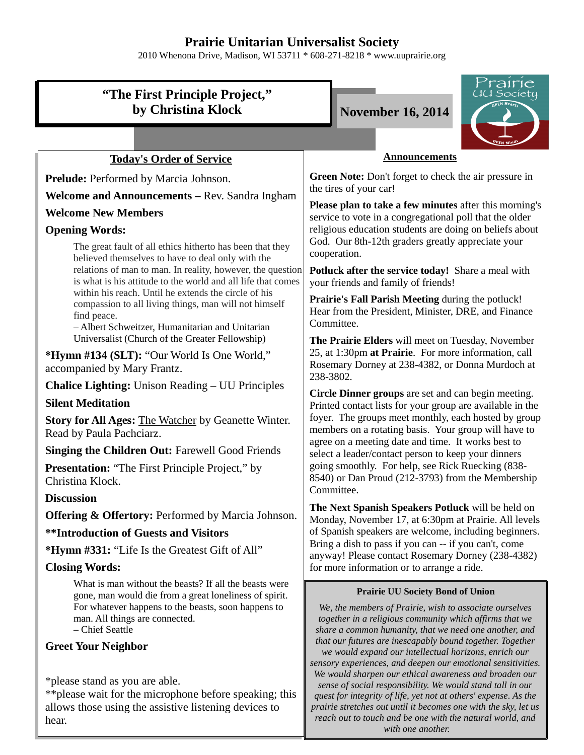## **Prairie Unitarian Universalist Society**

2010 Whenona Drive, Madison, WI 53711 \* 608-271-8218 \* www.uuprairie.org

| "The First Principle Project,"<br>by Christina Klock                                                                                                                                                                         | rairie<br>UU Society<br><b>November 16, 2014</b>                                                                                                                                                                                                                                                                                                                                                                                                                                                                                   |  |
|------------------------------------------------------------------------------------------------------------------------------------------------------------------------------------------------------------------------------|------------------------------------------------------------------------------------------------------------------------------------------------------------------------------------------------------------------------------------------------------------------------------------------------------------------------------------------------------------------------------------------------------------------------------------------------------------------------------------------------------------------------------------|--|
|                                                                                                                                                                                                                              |                                                                                                                                                                                                                                                                                                                                                                                                                                                                                                                                    |  |
| <b>Today's Order of Service</b>                                                                                                                                                                                              | <b>Announcements</b>                                                                                                                                                                                                                                                                                                                                                                                                                                                                                                               |  |
| Prelude: Performed by Marcia Johnson.                                                                                                                                                                                        | Green Note: Don't forget to check the air pressure in<br>the tires of your car!<br><b>Please plan to take a few minutes</b> after this morning's<br>service to vote in a congregational poll that the older<br>religious education students are doing on beliefs about                                                                                                                                                                                                                                                             |  |
| Welcome and Announcements - Rev. Sandra Ingham                                                                                                                                                                               |                                                                                                                                                                                                                                                                                                                                                                                                                                                                                                                                    |  |
| <b>Welcome New Members</b>                                                                                                                                                                                                   |                                                                                                                                                                                                                                                                                                                                                                                                                                                                                                                                    |  |
| <b>Opening Words:</b>                                                                                                                                                                                                        |                                                                                                                                                                                                                                                                                                                                                                                                                                                                                                                                    |  |
| The great fault of all ethics hitherto has been that they<br>believed themselves to have to deal only with the<br>relations of man to man. In reality, however, the question                                                 | God. Our 8th-12th graders greatly appreciate your<br>cooperation.                                                                                                                                                                                                                                                                                                                                                                                                                                                                  |  |
| is what is his attitude to the world and all life that comes                                                                                                                                                                 | Potluck after the service today! Share a meal with<br>your friends and family of friends!                                                                                                                                                                                                                                                                                                                                                                                                                                          |  |
| within his reach. Until he extends the circle of his<br>compassion to all living things, man will not himself<br>find peace.<br>- Albert Schweitzer, Humanitarian and Unitarian                                              | Prairie's Fall Parish Meeting during the potluck!<br>Hear from the President, Minister, DRE, and Finance<br>Committee.                                                                                                                                                                                                                                                                                                                                                                                                             |  |
| Universalist (Church of the Greater Fellowship)                                                                                                                                                                              | The Prairie Elders will meet on Tuesday, November                                                                                                                                                                                                                                                                                                                                                                                                                                                                                  |  |
| *Hymn #134 (SLT): "Our World Is One World,"<br>accompanied by Mary Frantz.                                                                                                                                                   | 25, at 1:30pm at Prairie. For more information, call<br>Rosemary Dorney at 238-4382, or Donna Murdoch at<br>238-3802.                                                                                                                                                                                                                                                                                                                                                                                                              |  |
| <b>Chalice Lighting:</b> Unison Reading – UU Principles                                                                                                                                                                      | Circle Dinner groups are set and can begin meeting.                                                                                                                                                                                                                                                                                                                                                                                                                                                                                |  |
| <b>Silent Meditation</b>                                                                                                                                                                                                     | Printed contact lists for your group are available in the<br>foyer. The groups meet monthly, each hosted by group<br>members on a rotating basis. Your group will have to<br>agree on a meeting date and time. It works best to<br>select a leader/contact person to keep your dinners                                                                                                                                                                                                                                             |  |
| Story for All Ages: The Watcher by Geanette Winter.<br>Read by Paula Pachciarz.                                                                                                                                              |                                                                                                                                                                                                                                                                                                                                                                                                                                                                                                                                    |  |
| <b>Singing the Children Out: Farewell Good Friends</b>                                                                                                                                                                       |                                                                                                                                                                                                                                                                                                                                                                                                                                                                                                                                    |  |
| <b>Presentation:</b> "The First Principle Project," by<br>Christina Klock.                                                                                                                                                   | going smoothly. For help, see Rick Ruecking (838-<br>8540) or Dan Proud (212-3793) from the Membership<br>Committee.                                                                                                                                                                                                                                                                                                                                                                                                               |  |
| <b>Discussion</b>                                                                                                                                                                                                            | The Next Spanish Speakers Potluck will be held on                                                                                                                                                                                                                                                                                                                                                                                                                                                                                  |  |
| <b>Offering &amp; Offertory:</b> Performed by Marcia Johnson.                                                                                                                                                                | Monday, November 17, at 6:30pm at Prairie. All levels<br>of Spanish speakers are welcome, including beginners.<br>Bring a dish to pass if you can -- if you can't, come<br>anyway! Please contact Rosemary Dorney (238-4382)                                                                                                                                                                                                                                                                                                       |  |
| <b>**Introduction of Guests and Visitors</b>                                                                                                                                                                                 |                                                                                                                                                                                                                                                                                                                                                                                                                                                                                                                                    |  |
| *Hymn #331: "Life Is the Greatest Gift of All"                                                                                                                                                                               |                                                                                                                                                                                                                                                                                                                                                                                                                                                                                                                                    |  |
| <b>Closing Words:</b>                                                                                                                                                                                                        | for more information or to arrange a ride.                                                                                                                                                                                                                                                                                                                                                                                                                                                                                         |  |
| What is man without the beasts? If all the beasts were<br>gone, man would die from a great loneliness of spirit.<br>For whatever happens to the beasts, soon happens to<br>man. All things are connected.<br>- Chief Seattle | <b>Prairie UU Society Bond of Union</b><br>We, the members of Prairie, wish to associate ourselves<br>together in a religious community which affirms that we<br>share a common humanity, that we need one another, and                                                                                                                                                                                                                                                                                                            |  |
| <b>Greet Your Neighbor</b><br>*please stand as you are able.<br>** please wait for the microphone before speaking; this<br>allows those using the assistive listening devices to<br>hear.                                    | that our futures are inescapably bound together. Together<br>we would expand our intellectual horizons, enrich our<br>sensory experiences, and deepen our emotional sensitivities.<br>We would sharpen our ethical awareness and broaden our<br>sense of social responsibility. We would stand tall in our<br>quest for integrity of life, yet not at others' expense. As the<br>prairie stretches out until it becomes one with the sky, let us<br>reach out to touch and be one with the natural world, and<br>with one another. |  |